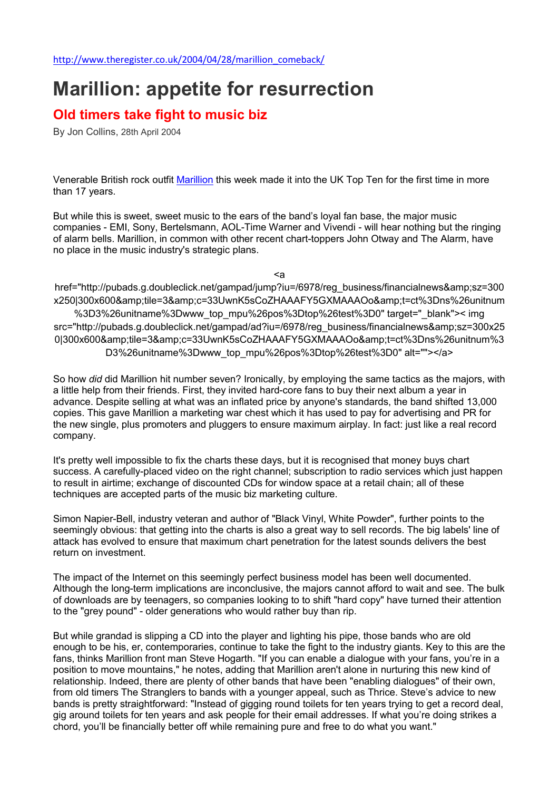## Marillion: appetite for resurrection

## Old timers take fight to music biz

By Jon Collins, 28th April 2004

Venerable British rock outfit Marillion this week made it into the UK Top Ten for the first time in more than 17 years.

But while this is sweet, sweet music to the ears of the band's loyal fan base, the major music companies - EMI, Sony, Bertelsmann, AOL-Time Warner and Vivendi - will hear nothing but the ringing of alarm bells. Marillion, in common with other recent chart-toppers John Otway and The Alarm, have no place in the music industry's strategic plans.

<a

href="http://pubads.g.doubleclick.net/gampad/jump?iu=/6978/reg\_business/financialnews&amp:sz=300 x250|300x600&tile=3&c=33UwnK5sCoZHAAAFY5GXMAAAOo&t=ct%3Dns%26unitnum %3D3%26unitname%3Dwww\_top\_mpu%26pos%3Dtop%26test%3D0" target="\_blank">< img src="http://pubads.g.doubleclick.net/gampad/ad?iu=/6978/reg\_business/financialnews&sz=300x25 0|300x600&tile=3&c=33UwnK5sCoZHAAAFY5GXMAAAOo&t=ct%3Dns%26unitnum%3 D3%26unitname%3Dwww\_top\_mpu%26pos%3Dtop%26test%3D0" alt=""></a>

So how *did* did Marillion hit number seven? Ironically, by employing the same tactics as the majors, with a little help from their friends. First, they invited hard-core fans to buy their next album a year in advance. Despite selling at what was an inflated price by anyone's standards, the band shifted 13,000 copies. This gave Marillion a marketing war chest which it has used to pay for advertising and PR for the new single, plus promoters and pluggers to ensure maximum airplay. In fact: just like a real record company.

It's pretty well impossible to fix the charts these days, but it is recognised that money buys chart success. A carefully-placed video on the right channel; subscription to radio services which just happen to result in airtime; exchange of discounted CDs for window space at a retail chain; all of these techniques are accepted parts of the music biz marketing culture.

Simon Napier-Bell, industry veteran and author of "Black Vinyl, White Powder", further points to the seemingly obvious: that getting into the charts is also a great way to sell records. The big labels' line of attack has evolved to ensure that maximum chart penetration for the latest sounds delivers the best return on investment.

The impact of the Internet on this seemingly perfect business model has been well documented. Although the long-term implications are inconclusive, the majors cannot afford to wait and see. The bulk of downloads are by teenagers, so companies looking to to shift "hard copy" have turned their attention to the "grey pound" - older generations who would rather buy than rip.

But while grandad is slipping a CD into the player and lighting his pipe, those bands who are old enough to be his, er, contemporaries, continue to take the fight to the industry giants. Key to this are the fans, thinks Marillion front man Steve Hogarth. "If you can enable a dialogue with your fans, you're in a position to move mountains," he notes, adding that Marillion aren't alone in nurturing this new kind of relationship. Indeed, there are plenty of other bands that have been "enabling dialogues" of their own, from old timers The Stranglers to bands with a younger appeal, such as Thrice. Steve's advice to new bands is pretty straightforward: "Instead of gigging round toilets for ten years trying to get a record deal, gig around toilets for ten years and ask people for their email addresses. If what you're doing strikes a chord, you'll be financially better off while remaining pure and free to do what you want."